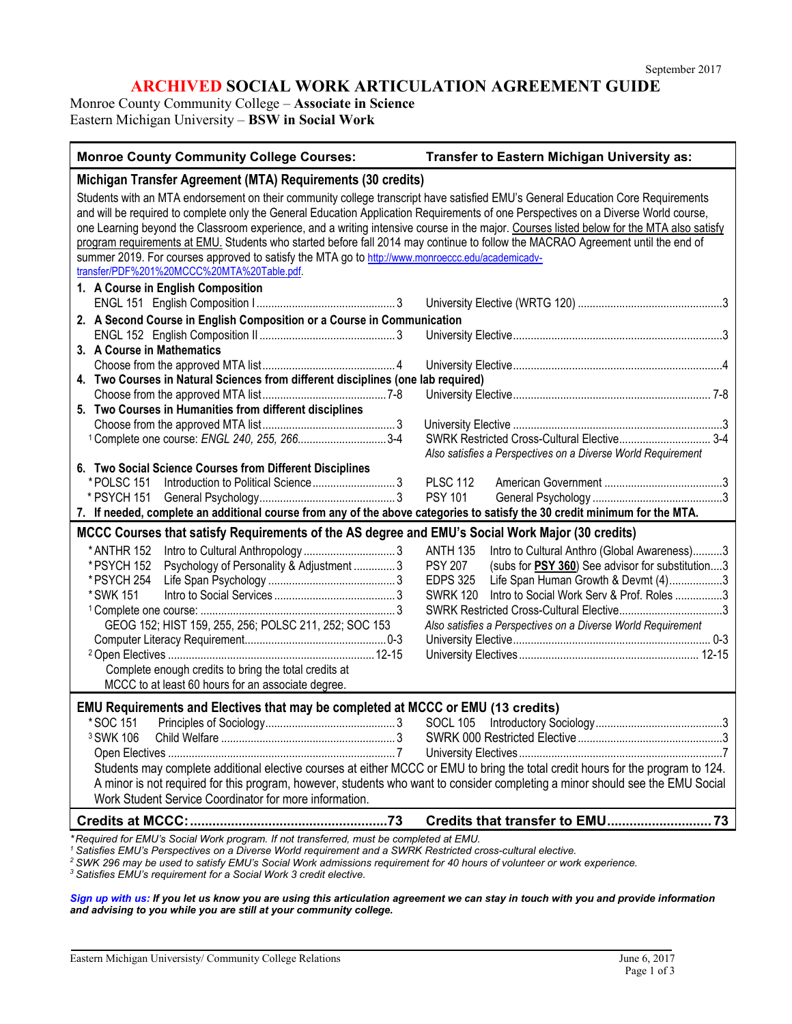# **ARCHIVED SOCIAL WORK ARTICULATION AGREEMENT GUIDE**

Monroe County Community College – **Associate in Science** Eastern Michigan University – **BSW in Social Work**

| <b>Monroe County Community College Courses:</b>                                                                                                                                                                                                                                                                                                                                                                                                                                                                                                                                                                                                                                                         | Transfer to Eastern Michigan University as:                                                                                                                                                                                                                                                                           |  |  |  |
|---------------------------------------------------------------------------------------------------------------------------------------------------------------------------------------------------------------------------------------------------------------------------------------------------------------------------------------------------------------------------------------------------------------------------------------------------------------------------------------------------------------------------------------------------------------------------------------------------------------------------------------------------------------------------------------------------------|-----------------------------------------------------------------------------------------------------------------------------------------------------------------------------------------------------------------------------------------------------------------------------------------------------------------------|--|--|--|
| Michigan Transfer Agreement (MTA) Requirements (30 credits)                                                                                                                                                                                                                                                                                                                                                                                                                                                                                                                                                                                                                                             |                                                                                                                                                                                                                                                                                                                       |  |  |  |
| Students with an MTA endorsement on their community college transcript have satisfied EMU's General Education Core Requirements<br>and will be required to complete only the General Education Application Requirements of one Perspectives on a Diverse World course,<br>one Learning beyond the Classroom experience, and a writing intensive course in the major. Courses listed below for the MTA also satisfy<br>program requirements at EMU. Students who started before fall 2014 may continue to follow the MACRAO Agreement until the end of<br>summer 2019. For courses approved to satisfy the MTA go to http://www.monroeccc.edu/academicadv-<br>transfer/PDF%201%20MCCC%20MTA%20Table.pdf. |                                                                                                                                                                                                                                                                                                                       |  |  |  |
| 1. A Course in English Composition                                                                                                                                                                                                                                                                                                                                                                                                                                                                                                                                                                                                                                                                      |                                                                                                                                                                                                                                                                                                                       |  |  |  |
|                                                                                                                                                                                                                                                                                                                                                                                                                                                                                                                                                                                                                                                                                                         |                                                                                                                                                                                                                                                                                                                       |  |  |  |
| 2. A Second Course in English Composition or a Course in Communication                                                                                                                                                                                                                                                                                                                                                                                                                                                                                                                                                                                                                                  |                                                                                                                                                                                                                                                                                                                       |  |  |  |
| 3. A Course in Mathematics                                                                                                                                                                                                                                                                                                                                                                                                                                                                                                                                                                                                                                                                              |                                                                                                                                                                                                                                                                                                                       |  |  |  |
|                                                                                                                                                                                                                                                                                                                                                                                                                                                                                                                                                                                                                                                                                                         |                                                                                                                                                                                                                                                                                                                       |  |  |  |
| 4. Two Courses in Natural Sciences from different disciplines (one lab required)                                                                                                                                                                                                                                                                                                                                                                                                                                                                                                                                                                                                                        |                                                                                                                                                                                                                                                                                                                       |  |  |  |
|                                                                                                                                                                                                                                                                                                                                                                                                                                                                                                                                                                                                                                                                                                         |                                                                                                                                                                                                                                                                                                                       |  |  |  |
| 5. Two Courses in Humanities from different disciplines                                                                                                                                                                                                                                                                                                                                                                                                                                                                                                                                                                                                                                                 |                                                                                                                                                                                                                                                                                                                       |  |  |  |
|                                                                                                                                                                                                                                                                                                                                                                                                                                                                                                                                                                                                                                                                                                         |                                                                                                                                                                                                                                                                                                                       |  |  |  |
| <sup>1</sup> Complete one course: ENGL 240, 255, 2663-4                                                                                                                                                                                                                                                                                                                                                                                                                                                                                                                                                                                                                                                 | Also satisfies a Perspectives on a Diverse World Requirement                                                                                                                                                                                                                                                          |  |  |  |
| 6. Two Social Science Courses from Different Disciplines                                                                                                                                                                                                                                                                                                                                                                                                                                                                                                                                                                                                                                                |                                                                                                                                                                                                                                                                                                                       |  |  |  |
| *POLSC 151                                                                                                                                                                                                                                                                                                                                                                                                                                                                                                                                                                                                                                                                                              | <b>PLSC 112</b>                                                                                                                                                                                                                                                                                                       |  |  |  |
| * PSYCH 151                                                                                                                                                                                                                                                                                                                                                                                                                                                                                                                                                                                                                                                                                             | <b>PSY 101</b>                                                                                                                                                                                                                                                                                                        |  |  |  |
| 7. If needed, complete an additional course from any of the above categories to satisfy the 30 credit minimum for the MTA.                                                                                                                                                                                                                                                                                                                                                                                                                                                                                                                                                                              |                                                                                                                                                                                                                                                                                                                       |  |  |  |
| MCCC Courses that satisfy Requirements of the AS degree and EMU's Social Work Major (30 credits)                                                                                                                                                                                                                                                                                                                                                                                                                                                                                                                                                                                                        |                                                                                                                                                                                                                                                                                                                       |  |  |  |
| * ANTHR 152<br>Psychology of Personality & Adjustment  3<br>* PSYCH 152<br>* PSYCH 254<br>*SWK 151<br>GEOG 152; HIST 159, 255, 256; POLSC 211, 252; SOC 153<br>Complete enough credits to bring the total credits at<br>MCCC to at least 60 hours for an associate degree.                                                                                                                                                                                                                                                                                                                                                                                                                              | <b>ANTH 135</b><br>Intro to Cultural Anthro (Global Awareness)3<br><b>PSY 207</b><br>(subs for PSY 360) See advisor for substitution3<br><b>EDPS 325</b><br>Life Span Human Growth & Devmt (4)3<br>SWRK 120 Intro to Social Work Serv & Prof. Roles 3<br>Also satisfies a Perspectives on a Diverse World Requirement |  |  |  |
| EMU Requirements and Electives that may be completed at MCCC or EMU (13 credits)                                                                                                                                                                                                                                                                                                                                                                                                                                                                                                                                                                                                                        |                                                                                                                                                                                                                                                                                                                       |  |  |  |
| * SOC 151<br><sup>3</sup> SWK 106<br>Work Student Service Coordinator for more information.                                                                                                                                                                                                                                                                                                                                                                                                                                                                                                                                                                                                             | .3<br>Students may complete additional elective courses at either MCCC or EMU to bring the total credit hours for the program to 124.<br>A minor is not required for this program, however, students who want to consider completing a minor should see the EMU Social                                                |  |  |  |
|                                                                                                                                                                                                                                                                                                                                                                                                                                                                                                                                                                                                                                                                                                         |                                                                                                                                                                                                                                                                                                                       |  |  |  |
| *Required for EMU's Social Work program. If not transferred, must be completed at EMU.<br>Satisfies EMU's Perspectives on a Diverse World requirement and a SWRK Restricted cross-cultural elective.                                                                                                                                                                                                                                                                                                                                                                                                                                                                                                    |                                                                                                                                                                                                                                                                                                                       |  |  |  |

*<sup>2</sup> SWK 296 may be used to satisfy EMU's Social Work admissions requirement for 40 hours of volunteer or work experience.*

*<sup>3</sup> Satisfies EMU's requirement for a Social Work 3 credit elective.*

*[Sign up with us:](https://www.emich.edu/ccr/articulation-agreements/signup.php) If you let us know you are using this articulation agreement we can stay in touch with you and provide information and advising to you while you are still at your community college.*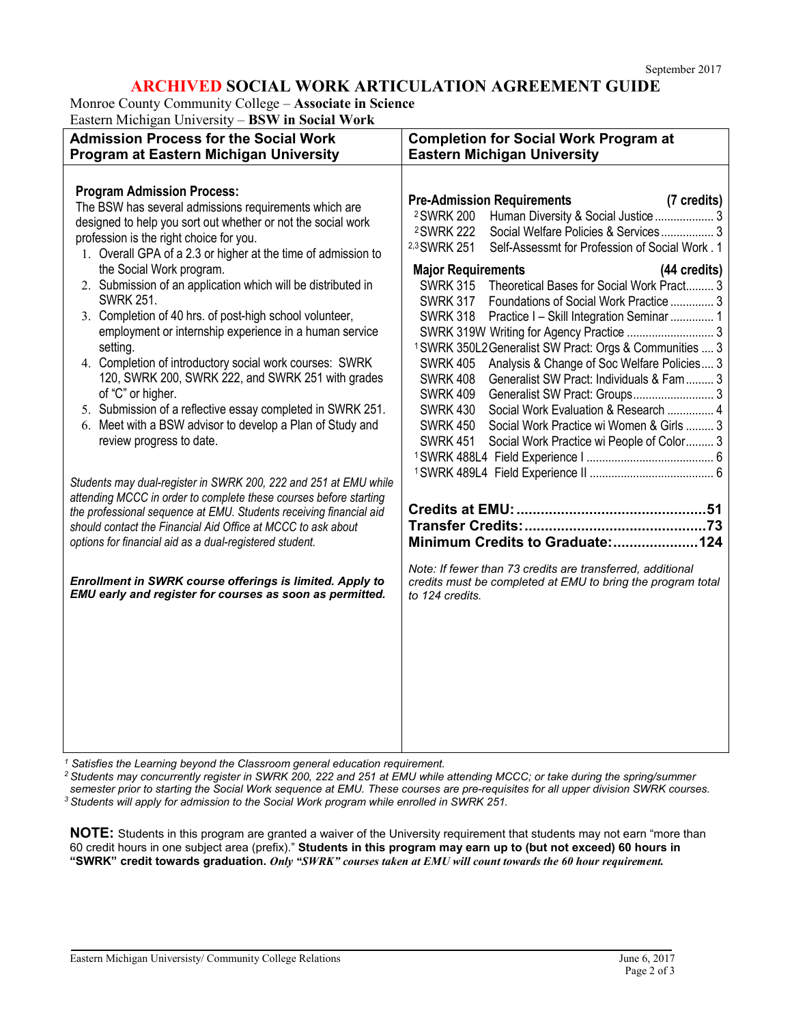## **ARCHIVED SOCIAL WORK ARTICULATION AGREEMENT GUIDE**

Monroe County Community College – **Associate in Science**

Eastern Michigan University – **BSW in Social Work**

| <b>Admission Process for the Social Work</b><br>Program at Eastern Michigan University                                                                                                                                                                                                                                                                                                                                                                                                                                                                                                                                                                                                                                                                                                                                                                                                                                                                                                                                                                                                                                                                                                                                                                                                | <b>Completion for Social Work Program at</b><br><b>Eastern Michigan University</b>                                                                                                                                                                                                                                                                                                                                                                                                                                                                                                                                                                                                                                                                                                                                                                                                                                                                                                                                                                                                                                                     |  |  |
|---------------------------------------------------------------------------------------------------------------------------------------------------------------------------------------------------------------------------------------------------------------------------------------------------------------------------------------------------------------------------------------------------------------------------------------------------------------------------------------------------------------------------------------------------------------------------------------------------------------------------------------------------------------------------------------------------------------------------------------------------------------------------------------------------------------------------------------------------------------------------------------------------------------------------------------------------------------------------------------------------------------------------------------------------------------------------------------------------------------------------------------------------------------------------------------------------------------------------------------------------------------------------------------|----------------------------------------------------------------------------------------------------------------------------------------------------------------------------------------------------------------------------------------------------------------------------------------------------------------------------------------------------------------------------------------------------------------------------------------------------------------------------------------------------------------------------------------------------------------------------------------------------------------------------------------------------------------------------------------------------------------------------------------------------------------------------------------------------------------------------------------------------------------------------------------------------------------------------------------------------------------------------------------------------------------------------------------------------------------------------------------------------------------------------------------|--|--|
| <b>Program Admission Process:</b><br>The BSW has several admissions requirements which are<br>designed to help you sort out whether or not the social work<br>profession is the right choice for you.<br>1. Overall GPA of a 2.3 or higher at the time of admission to<br>the Social Work program.<br>2. Submission of an application which will be distributed in<br><b>SWRK 251.</b><br>3. Completion of 40 hrs. of post-high school volunteer,<br>employment or internship experience in a human service<br>setting.<br>4. Completion of introductory social work courses: SWRK<br>120, SWRK 200, SWRK 222, and SWRK 251 with grades<br>of "C" or higher.<br>5. Submission of a reflective essay completed in SWRK 251.<br>6. Meet with a BSW advisor to develop a Plan of Study and<br>review progress to date.<br>Students may dual-register in SWRK 200, 222 and 251 at EMU while<br>attending MCCC in order to complete these courses before starting<br>the professional sequence at EMU. Students receiving financial aid<br>should contact the Financial Aid Office at MCCC to ask about<br>options for financial aid as a dual-registered student.<br>Enrollment in SWRK course offerings is limited. Apply to<br>EMU early and register for courses as soon as permitted. | <b>Pre-Admission Requirements</b><br>(7 credits)<br><sup>2</sup> SWRK 200<br>Human Diversity & Social Justice  3<br><sup>2</sup> SWRK 222<br>Social Welfare Policies & Services 3<br>2,3 SWRK 251<br>Self-Assessmt for Profession of Social Work. 1<br><b>Major Requirements</b><br>(44 credits)<br>Theoretical Bases for Social Work Pract 3<br><b>SWRK 315</b><br><b>SWRK 317</b><br>Foundations of Social Work Practice  3<br><b>SWRK 318</b><br>Practice I - Skill Integration Seminar  1<br><sup>1</sup> SWRK 350L2 Generalist SW Pract: Orgs & Communities  3<br>Analysis & Change of Soc Welfare Policies 3<br><b>SWRK 405</b><br>Generalist SW Pract: Individuals & Fam  3<br><b>SWRK 408</b><br><b>SWRK 409</b><br>Generalist SW Pract: Groups 3<br><b>SWRK 430</b><br>Social Work Evaluation & Research  4<br>Social Work Practice wi Women & Girls  3<br><b>SWRK 450</b><br>Social Work Practice wi People of Color 3<br><b>SWRK 451</b><br>Minimum Credits to Graduate:124<br>Note: If fewer than 73 credits are transferred, additional<br>credits must be completed at EMU to bring the program total<br>to 124 credits. |  |  |
|                                                                                                                                                                                                                                                                                                                                                                                                                                                                                                                                                                                                                                                                                                                                                                                                                                                                                                                                                                                                                                                                                                                                                                                                                                                                                       |                                                                                                                                                                                                                                                                                                                                                                                                                                                                                                                                                                                                                                                                                                                                                                                                                                                                                                                                                                                                                                                                                                                                        |  |  |

*<sup>1</sup> Satisfies the Learning beyond the Classroom general education requirement.*

*<sup>2</sup> Students may concurrently register in SWRK 200, 222 and 251 at EMU while attending MCCC; or take during the spring/summer semester prior to starting the Social Work sequence at EMU. These courses are pre-requisites for all upper division SWRK courses.*

*<sup>3</sup> Students will apply for admission to the Social Work program while enrolled in SWRK 251.*

**NOTE:** Students in this program are granted a waiver of the University requirement that students may not earn "more than 60 credit hours in one subject area (prefix)." **Students in this program may earn up to (but not exceed) 60 hours in** "SWRK" credit towards graduation. Only "SWRK" courses taken at EMU will count towards the 60 hour requirement.